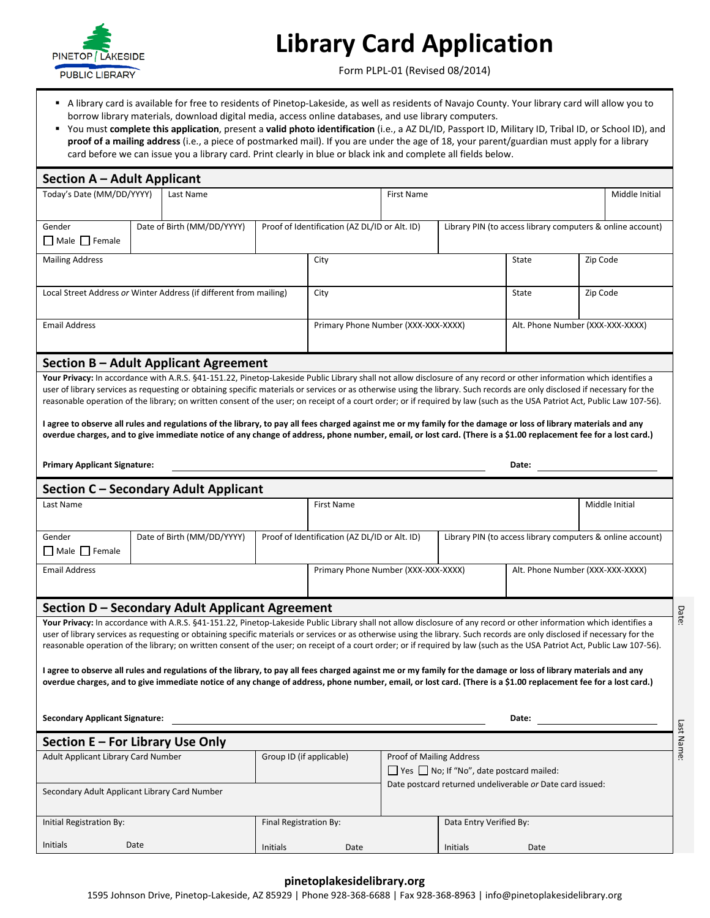

Initials Date

## **Library Card Application**

Form PLPL-01 (Revised 08/2014)

- A library card is available for free to residents of Pinetop-Lakeside, as well as residents of Navajo County. Your library card will allow you to borrow library materials, download digital media, access online databases, and use library computers.
- You must **complete this application**, present a **valid photo identification** (i.e., a AZ DL/ID, Passport ID, Military ID, Tribal ID, or School ID), and **proof of a mailing address** (i.e., a piece of postmarked mail). If you are under the age of 18, your parent/guardian must apply for a library card before we can issue you a library card. Print clearly in blue or black ink and complete all fields below.

| <b>Section A - Adult Applicant</b><br>Last Name<br><b>First Name</b><br>Middle Initial<br>Date of Birth (MM/DD/YYYY)<br>Proof of Identification (AZ DL/ID or Alt. ID)<br>Library PIN (to access library computers & online account)<br>City<br>Zip Code<br>State<br>Local Street Address or Winter Address (if different from mailing)<br>City<br>State<br>Zip Code<br><b>Email Address</b><br>Primary Phone Number (XXX-XXX-XXXX)<br>Alt. Phone Number (XXX-XXX-XXXX)<br>Section B - Adult Applicant Agreement<br>Your Privacy: In accordance with A.R.S. §41-151.22, Pinetop-Lakeside Public Library shall not allow disclosure of any record or other information which identifies a<br>user of library services as requesting or obtaining specific materials or services or as otherwise using the library. Such records are only disclosed if necessary for the<br>reasonable operation of the library; on written consent of the user; on receipt of a court order; or if required by law (such as the USA Patriot Act, Public Law 107-56).<br>I agree to observe all rules and regulations of the library, to pay all fees charged against me or my family for the damage or loss of library materials and any<br>overdue charges, and to give immediate notice of any change of address, phone number, email, or lost card. (There is a \$1.00 replacement fee for a lost card.)<br><b>Primary Applicant Signature:</b><br>Date:<br>Section C - Secondary Adult Applicant<br>Middle Initial<br>First Name<br>Date of Birth (MM/DD/YYYY)<br>Proof of Identification (AZ DL/ID or Alt. ID)<br>Library PIN (to access library computers & online account)<br>Gender<br><b>Email Address</b><br>Primary Phone Number (XXX-XXX-XXXX)<br>Alt. Phone Number (XXX-XXX-XXXX)<br>Section D – Secondary Adult Applicant Agreement<br>Your Privacy: In accordance with A.R.S. §41-151.22, Pinetop-Lakeside Public Library shall not allow disclosure of any record or other information which identifies a<br>user of library services as requesting or obtaining specific materials or services or as otherwise using the library. Such records are only disclosed if necessary for the<br>reasonable operation of the library; on written consent of the user; on receipt of a court order; or if required by law (such as the USA Patriot Act, Public Law 107-56).<br>I agree to observe all rules and regulations of the library, to pay all fees charged against me or my family for the damage or loss of library materials and any<br>overdue charges, and to give immediate notice of any change of address, phone number, email, or lost card. (There is a \$1.00 replacement fee for a lost card.)<br><b>Secondary Applicant Signature:</b><br>Date:<br>Section E - For Library Use Only<br>Group ID (if applicable)<br>Proof of Mailing Address<br>$\Box$ Yes $\Box$ No; If "No", date postcard mailed:<br>Date postcard returned undeliverable or Date card issued:<br>Secondary Adult Applicant Library Card Number<br>Data Entry Verified By:<br>Final Registration By: |                                     |  |  |  |  |  |  |  |  |  |
|------------------------------------------------------------------------------------------------------------------------------------------------------------------------------------------------------------------------------------------------------------------------------------------------------------------------------------------------------------------------------------------------------------------------------------------------------------------------------------------------------------------------------------------------------------------------------------------------------------------------------------------------------------------------------------------------------------------------------------------------------------------------------------------------------------------------------------------------------------------------------------------------------------------------------------------------------------------------------------------------------------------------------------------------------------------------------------------------------------------------------------------------------------------------------------------------------------------------------------------------------------------------------------------------------------------------------------------------------------------------------------------------------------------------------------------------------------------------------------------------------------------------------------------------------------------------------------------------------------------------------------------------------------------------------------------------------------------------------------------------------------------------------------------------------------------------------------------------------------------------------------------------------------------------------------------------------------------------------------------------------------------------------------------------------------------------------------------------------------------------------------------------------------------------------------------------------------------------------------------------------------------------------------------------------------------------------------------------------------------------------------------------------------------------------------------------------------------------------------------------------------------------------------------------------------------------------------------------------------------------------------------------------------------------------------------------------------------------------------------------------------------------------------------------------------------------------------------------------------------------------------------------------------------------------------------------------------------------------------------------------------------------------------------------------------------------------------|-------------------------------------|--|--|--|--|--|--|--|--|--|
|                                                                                                                                                                                                                                                                                                                                                                                                                                                                                                                                                                                                                                                                                                                                                                                                                                                                                                                                                                                                                                                                                                                                                                                                                                                                                                                                                                                                                                                                                                                                                                                                                                                                                                                                                                                                                                                                                                                                                                                                                                                                                                                                                                                                                                                                                                                                                                                                                                                                                                                                                                                                                                                                                                                                                                                                                                                                                                                                                                                                                                                                                    |                                     |  |  |  |  |  |  |  |  |  |
|                                                                                                                                                                                                                                                                                                                                                                                                                                                                                                                                                                                                                                                                                                                                                                                                                                                                                                                                                                                                                                                                                                                                                                                                                                                                                                                                                                                                                                                                                                                                                                                                                                                                                                                                                                                                                                                                                                                                                                                                                                                                                                                                                                                                                                                                                                                                                                                                                                                                                                                                                                                                                                                                                                                                                                                                                                                                                                                                                                                                                                                                                    | Today's Date (MM/DD/YYYY)           |  |  |  |  |  |  |  |  |  |
|                                                                                                                                                                                                                                                                                                                                                                                                                                                                                                                                                                                                                                                                                                                                                                                                                                                                                                                                                                                                                                                                                                                                                                                                                                                                                                                                                                                                                                                                                                                                                                                                                                                                                                                                                                                                                                                                                                                                                                                                                                                                                                                                                                                                                                                                                                                                                                                                                                                                                                                                                                                                                                                                                                                                                                                                                                                                                                                                                                                                                                                                                    |                                     |  |  |  |  |  |  |  |  |  |
|                                                                                                                                                                                                                                                                                                                                                                                                                                                                                                                                                                                                                                                                                                                                                                                                                                                                                                                                                                                                                                                                                                                                                                                                                                                                                                                                                                                                                                                                                                                                                                                                                                                                                                                                                                                                                                                                                                                                                                                                                                                                                                                                                                                                                                                                                                                                                                                                                                                                                                                                                                                                                                                                                                                                                                                                                                                                                                                                                                                                                                                                                    | Gender                              |  |  |  |  |  |  |  |  |  |
|                                                                                                                                                                                                                                                                                                                                                                                                                                                                                                                                                                                                                                                                                                                                                                                                                                                                                                                                                                                                                                                                                                                                                                                                                                                                                                                                                                                                                                                                                                                                                                                                                                                                                                                                                                                                                                                                                                                                                                                                                                                                                                                                                                                                                                                                                                                                                                                                                                                                                                                                                                                                                                                                                                                                                                                                                                                                                                                                                                                                                                                                                    | Male Female                         |  |  |  |  |  |  |  |  |  |
|                                                                                                                                                                                                                                                                                                                                                                                                                                                                                                                                                                                                                                                                                                                                                                                                                                                                                                                                                                                                                                                                                                                                                                                                                                                                                                                                                                                                                                                                                                                                                                                                                                                                                                                                                                                                                                                                                                                                                                                                                                                                                                                                                                                                                                                                                                                                                                                                                                                                                                                                                                                                                                                                                                                                                                                                                                                                                                                                                                                                                                                                                    | <b>Mailing Address</b>              |  |  |  |  |  |  |  |  |  |
|                                                                                                                                                                                                                                                                                                                                                                                                                                                                                                                                                                                                                                                                                                                                                                                                                                                                                                                                                                                                                                                                                                                                                                                                                                                                                                                                                                                                                                                                                                                                                                                                                                                                                                                                                                                                                                                                                                                                                                                                                                                                                                                                                                                                                                                                                                                                                                                                                                                                                                                                                                                                                                                                                                                                                                                                                                                                                                                                                                                                                                                                                    |                                     |  |  |  |  |  |  |  |  |  |
|                                                                                                                                                                                                                                                                                                                                                                                                                                                                                                                                                                                                                                                                                                                                                                                                                                                                                                                                                                                                                                                                                                                                                                                                                                                                                                                                                                                                                                                                                                                                                                                                                                                                                                                                                                                                                                                                                                                                                                                                                                                                                                                                                                                                                                                                                                                                                                                                                                                                                                                                                                                                                                                                                                                                                                                                                                                                                                                                                                                                                                                                                    |                                     |  |  |  |  |  |  |  |  |  |
|                                                                                                                                                                                                                                                                                                                                                                                                                                                                                                                                                                                                                                                                                                                                                                                                                                                                                                                                                                                                                                                                                                                                                                                                                                                                                                                                                                                                                                                                                                                                                                                                                                                                                                                                                                                                                                                                                                                                                                                                                                                                                                                                                                                                                                                                                                                                                                                                                                                                                                                                                                                                                                                                                                                                                                                                                                                                                                                                                                                                                                                                                    |                                     |  |  |  |  |  |  |  |  |  |
|                                                                                                                                                                                                                                                                                                                                                                                                                                                                                                                                                                                                                                                                                                                                                                                                                                                                                                                                                                                                                                                                                                                                                                                                                                                                                                                                                                                                                                                                                                                                                                                                                                                                                                                                                                                                                                                                                                                                                                                                                                                                                                                                                                                                                                                                                                                                                                                                                                                                                                                                                                                                                                                                                                                                                                                                                                                                                                                                                                                                                                                                                    |                                     |  |  |  |  |  |  |  |  |  |
|                                                                                                                                                                                                                                                                                                                                                                                                                                                                                                                                                                                                                                                                                                                                                                                                                                                                                                                                                                                                                                                                                                                                                                                                                                                                                                                                                                                                                                                                                                                                                                                                                                                                                                                                                                                                                                                                                                                                                                                                                                                                                                                                                                                                                                                                                                                                                                                                                                                                                                                                                                                                                                                                                                                                                                                                                                                                                                                                                                                                                                                                                    |                                     |  |  |  |  |  |  |  |  |  |
|                                                                                                                                                                                                                                                                                                                                                                                                                                                                                                                                                                                                                                                                                                                                                                                                                                                                                                                                                                                                                                                                                                                                                                                                                                                                                                                                                                                                                                                                                                                                                                                                                                                                                                                                                                                                                                                                                                                                                                                                                                                                                                                                                                                                                                                                                                                                                                                                                                                                                                                                                                                                                                                                                                                                                                                                                                                                                                                                                                                                                                                                                    |                                     |  |  |  |  |  |  |  |  |  |
|                                                                                                                                                                                                                                                                                                                                                                                                                                                                                                                                                                                                                                                                                                                                                                                                                                                                                                                                                                                                                                                                                                                                                                                                                                                                                                                                                                                                                                                                                                                                                                                                                                                                                                                                                                                                                                                                                                                                                                                                                                                                                                                                                                                                                                                                                                                                                                                                                                                                                                                                                                                                                                                                                                                                                                                                                                                                                                                                                                                                                                                                                    |                                     |  |  |  |  |  |  |  |  |  |
|                                                                                                                                                                                                                                                                                                                                                                                                                                                                                                                                                                                                                                                                                                                                                                                                                                                                                                                                                                                                                                                                                                                                                                                                                                                                                                                                                                                                                                                                                                                                                                                                                                                                                                                                                                                                                                                                                                                                                                                                                                                                                                                                                                                                                                                                                                                                                                                                                                                                                                                                                                                                                                                                                                                                                                                                                                                                                                                                                                                                                                                                                    |                                     |  |  |  |  |  |  |  |  |  |
|                                                                                                                                                                                                                                                                                                                                                                                                                                                                                                                                                                                                                                                                                                                                                                                                                                                                                                                                                                                                                                                                                                                                                                                                                                                                                                                                                                                                                                                                                                                                                                                                                                                                                                                                                                                                                                                                                                                                                                                                                                                                                                                                                                                                                                                                                                                                                                                                                                                                                                                                                                                                                                                                                                                                                                                                                                                                                                                                                                                                                                                                                    |                                     |  |  |  |  |  |  |  |  |  |
|                                                                                                                                                                                                                                                                                                                                                                                                                                                                                                                                                                                                                                                                                                                                                                                                                                                                                                                                                                                                                                                                                                                                                                                                                                                                                                                                                                                                                                                                                                                                                                                                                                                                                                                                                                                                                                                                                                                                                                                                                                                                                                                                                                                                                                                                                                                                                                                                                                                                                                                                                                                                                                                                                                                                                                                                                                                                                                                                                                                                                                                                                    |                                     |  |  |  |  |  |  |  |  |  |
|                                                                                                                                                                                                                                                                                                                                                                                                                                                                                                                                                                                                                                                                                                                                                                                                                                                                                                                                                                                                                                                                                                                                                                                                                                                                                                                                                                                                                                                                                                                                                                                                                                                                                                                                                                                                                                                                                                                                                                                                                                                                                                                                                                                                                                                                                                                                                                                                                                                                                                                                                                                                                                                                                                                                                                                                                                                                                                                                                                                                                                                                                    |                                     |  |  |  |  |  |  |  |  |  |
|                                                                                                                                                                                                                                                                                                                                                                                                                                                                                                                                                                                                                                                                                                                                                                                                                                                                                                                                                                                                                                                                                                                                                                                                                                                                                                                                                                                                                                                                                                                                                                                                                                                                                                                                                                                                                                                                                                                                                                                                                                                                                                                                                                                                                                                                                                                                                                                                                                                                                                                                                                                                                                                                                                                                                                                                                                                                                                                                                                                                                                                                                    |                                     |  |  |  |  |  |  |  |  |  |
|                                                                                                                                                                                                                                                                                                                                                                                                                                                                                                                                                                                                                                                                                                                                                                                                                                                                                                                                                                                                                                                                                                                                                                                                                                                                                                                                                                                                                                                                                                                                                                                                                                                                                                                                                                                                                                                                                                                                                                                                                                                                                                                                                                                                                                                                                                                                                                                                                                                                                                                                                                                                                                                                                                                                                                                                                                                                                                                                                                                                                                                                                    |                                     |  |  |  |  |  |  |  |  |  |
|                                                                                                                                                                                                                                                                                                                                                                                                                                                                                                                                                                                                                                                                                                                                                                                                                                                                                                                                                                                                                                                                                                                                                                                                                                                                                                                                                                                                                                                                                                                                                                                                                                                                                                                                                                                                                                                                                                                                                                                                                                                                                                                                                                                                                                                                                                                                                                                                                                                                                                                                                                                                                                                                                                                                                                                                                                                                                                                                                                                                                                                                                    |                                     |  |  |  |  |  |  |  |  |  |
|                                                                                                                                                                                                                                                                                                                                                                                                                                                                                                                                                                                                                                                                                                                                                                                                                                                                                                                                                                                                                                                                                                                                                                                                                                                                                                                                                                                                                                                                                                                                                                                                                                                                                                                                                                                                                                                                                                                                                                                                                                                                                                                                                                                                                                                                                                                                                                                                                                                                                                                                                                                                                                                                                                                                                                                                                                                                                                                                                                                                                                                                                    |                                     |  |  |  |  |  |  |  |  |  |
|                                                                                                                                                                                                                                                                                                                                                                                                                                                                                                                                                                                                                                                                                                                                                                                                                                                                                                                                                                                                                                                                                                                                                                                                                                                                                                                                                                                                                                                                                                                                                                                                                                                                                                                                                                                                                                                                                                                                                                                                                                                                                                                                                                                                                                                                                                                                                                                                                                                                                                                                                                                                                                                                                                                                                                                                                                                                                                                                                                                                                                                                                    | Last Name                           |  |  |  |  |  |  |  |  |  |
|                                                                                                                                                                                                                                                                                                                                                                                                                                                                                                                                                                                                                                                                                                                                                                                                                                                                                                                                                                                                                                                                                                                                                                                                                                                                                                                                                                                                                                                                                                                                                                                                                                                                                                                                                                                                                                                                                                                                                                                                                                                                                                                                                                                                                                                                                                                                                                                                                                                                                                                                                                                                                                                                                                                                                                                                                                                                                                                                                                                                                                                                                    |                                     |  |  |  |  |  |  |  |  |  |
|                                                                                                                                                                                                                                                                                                                                                                                                                                                                                                                                                                                                                                                                                                                                                                                                                                                                                                                                                                                                                                                                                                                                                                                                                                                                                                                                                                                                                                                                                                                                                                                                                                                                                                                                                                                                                                                                                                                                                                                                                                                                                                                                                                                                                                                                                                                                                                                                                                                                                                                                                                                                                                                                                                                                                                                                                                                                                                                                                                                                                                                                                    |                                     |  |  |  |  |  |  |  |  |  |
|                                                                                                                                                                                                                                                                                                                                                                                                                                                                                                                                                                                                                                                                                                                                                                                                                                                                                                                                                                                                                                                                                                                                                                                                                                                                                                                                                                                                                                                                                                                                                                                                                                                                                                                                                                                                                                                                                                                                                                                                                                                                                                                                                                                                                                                                                                                                                                                                                                                                                                                                                                                                                                                                                                                                                                                                                                                                                                                                                                                                                                                                                    | $\Box$ Male $\Box$ Female           |  |  |  |  |  |  |  |  |  |
|                                                                                                                                                                                                                                                                                                                                                                                                                                                                                                                                                                                                                                                                                                                                                                                                                                                                                                                                                                                                                                                                                                                                                                                                                                                                                                                                                                                                                                                                                                                                                                                                                                                                                                                                                                                                                                                                                                                                                                                                                                                                                                                                                                                                                                                                                                                                                                                                                                                                                                                                                                                                                                                                                                                                                                                                                                                                                                                                                                                                                                                                                    |                                     |  |  |  |  |  |  |  |  |  |
|                                                                                                                                                                                                                                                                                                                                                                                                                                                                                                                                                                                                                                                                                                                                                                                                                                                                                                                                                                                                                                                                                                                                                                                                                                                                                                                                                                                                                                                                                                                                                                                                                                                                                                                                                                                                                                                                                                                                                                                                                                                                                                                                                                                                                                                                                                                                                                                                                                                                                                                                                                                                                                                                                                                                                                                                                                                                                                                                                                                                                                                                                    |                                     |  |  |  |  |  |  |  |  |  |
|                                                                                                                                                                                                                                                                                                                                                                                                                                                                                                                                                                                                                                                                                                                                                                                                                                                                                                                                                                                                                                                                                                                                                                                                                                                                                                                                                                                                                                                                                                                                                                                                                                                                                                                                                                                                                                                                                                                                                                                                                                                                                                                                                                                                                                                                                                                                                                                                                                                                                                                                                                                                                                                                                                                                                                                                                                                                                                                                                                                                                                                                                    |                                     |  |  |  |  |  |  |  |  |  |
|                                                                                                                                                                                                                                                                                                                                                                                                                                                                                                                                                                                                                                                                                                                                                                                                                                                                                                                                                                                                                                                                                                                                                                                                                                                                                                                                                                                                                                                                                                                                                                                                                                                                                                                                                                                                                                                                                                                                                                                                                                                                                                                                                                                                                                                                                                                                                                                                                                                                                                                                                                                                                                                                                                                                                                                                                                                                                                                                                                                                                                                                                    |                                     |  |  |  |  |  |  |  |  |  |
|                                                                                                                                                                                                                                                                                                                                                                                                                                                                                                                                                                                                                                                                                                                                                                                                                                                                                                                                                                                                                                                                                                                                                                                                                                                                                                                                                                                                                                                                                                                                                                                                                                                                                                                                                                                                                                                                                                                                                                                                                                                                                                                                                                                                                                                                                                                                                                                                                                                                                                                                                                                                                                                                                                                                                                                                                                                                                                                                                                                                                                                                                    |                                     |  |  |  |  |  |  |  |  |  |
|                                                                                                                                                                                                                                                                                                                                                                                                                                                                                                                                                                                                                                                                                                                                                                                                                                                                                                                                                                                                                                                                                                                                                                                                                                                                                                                                                                                                                                                                                                                                                                                                                                                                                                                                                                                                                                                                                                                                                                                                                                                                                                                                                                                                                                                                                                                                                                                                                                                                                                                                                                                                                                                                                                                                                                                                                                                                                                                                                                                                                                                                                    |                                     |  |  |  |  |  |  |  |  |  |
|                                                                                                                                                                                                                                                                                                                                                                                                                                                                                                                                                                                                                                                                                                                                                                                                                                                                                                                                                                                                                                                                                                                                                                                                                                                                                                                                                                                                                                                                                                                                                                                                                                                                                                                                                                                                                                                                                                                                                                                                                                                                                                                                                                                                                                                                                                                                                                                                                                                                                                                                                                                                                                                                                                                                                                                                                                                                                                                                                                                                                                                                                    |                                     |  |  |  |  |  |  |  |  |  |
|                                                                                                                                                                                                                                                                                                                                                                                                                                                                                                                                                                                                                                                                                                                                                                                                                                                                                                                                                                                                                                                                                                                                                                                                                                                                                                                                                                                                                                                                                                                                                                                                                                                                                                                                                                                                                                                                                                                                                                                                                                                                                                                                                                                                                                                                                                                                                                                                                                                                                                                                                                                                                                                                                                                                                                                                                                                                                                                                                                                                                                                                                    |                                     |  |  |  |  |  |  |  |  |  |
|                                                                                                                                                                                                                                                                                                                                                                                                                                                                                                                                                                                                                                                                                                                                                                                                                                                                                                                                                                                                                                                                                                                                                                                                                                                                                                                                                                                                                                                                                                                                                                                                                                                                                                                                                                                                                                                                                                                                                                                                                                                                                                                                                                                                                                                                                                                                                                                                                                                                                                                                                                                                                                                                                                                                                                                                                                                                                                                                                                                                                                                                                    |                                     |  |  |  |  |  |  |  |  |  |
|                                                                                                                                                                                                                                                                                                                                                                                                                                                                                                                                                                                                                                                                                                                                                                                                                                                                                                                                                                                                                                                                                                                                                                                                                                                                                                                                                                                                                                                                                                                                                                                                                                                                                                                                                                                                                                                                                                                                                                                                                                                                                                                                                                                                                                                                                                                                                                                                                                                                                                                                                                                                                                                                                                                                                                                                                                                                                                                                                                                                                                                                                    |                                     |  |  |  |  |  |  |  |  |  |
|                                                                                                                                                                                                                                                                                                                                                                                                                                                                                                                                                                                                                                                                                                                                                                                                                                                                                                                                                                                                                                                                                                                                                                                                                                                                                                                                                                                                                                                                                                                                                                                                                                                                                                                                                                                                                                                                                                                                                                                                                                                                                                                                                                                                                                                                                                                                                                                                                                                                                                                                                                                                                                                                                                                                                                                                                                                                                                                                                                                                                                                                                    |                                     |  |  |  |  |  |  |  |  |  |
|                                                                                                                                                                                                                                                                                                                                                                                                                                                                                                                                                                                                                                                                                                                                                                                                                                                                                                                                                                                                                                                                                                                                                                                                                                                                                                                                                                                                                                                                                                                                                                                                                                                                                                                                                                                                                                                                                                                                                                                                                                                                                                                                                                                                                                                                                                                                                                                                                                                                                                                                                                                                                                                                                                                                                                                                                                                                                                                                                                                                                                                                                    |                                     |  |  |  |  |  |  |  |  |  |
|                                                                                                                                                                                                                                                                                                                                                                                                                                                                                                                                                                                                                                                                                                                                                                                                                                                                                                                                                                                                                                                                                                                                                                                                                                                                                                                                                                                                                                                                                                                                                                                                                                                                                                                                                                                                                                                                                                                                                                                                                                                                                                                                                                                                                                                                                                                                                                                                                                                                                                                                                                                                                                                                                                                                                                                                                                                                                                                                                                                                                                                                                    |                                     |  |  |  |  |  |  |  |  |  |
|                                                                                                                                                                                                                                                                                                                                                                                                                                                                                                                                                                                                                                                                                                                                                                                                                                                                                                                                                                                                                                                                                                                                                                                                                                                                                                                                                                                                                                                                                                                                                                                                                                                                                                                                                                                                                                                                                                                                                                                                                                                                                                                                                                                                                                                                                                                                                                                                                                                                                                                                                                                                                                                                                                                                                                                                                                                                                                                                                                                                                                                                                    | Adult Applicant Library Card Number |  |  |  |  |  |  |  |  |  |
|                                                                                                                                                                                                                                                                                                                                                                                                                                                                                                                                                                                                                                                                                                                                                                                                                                                                                                                                                                                                                                                                                                                                                                                                                                                                                                                                                                                                                                                                                                                                                                                                                                                                                                                                                                                                                                                                                                                                                                                                                                                                                                                                                                                                                                                                                                                                                                                                                                                                                                                                                                                                                                                                                                                                                                                                                                                                                                                                                                                                                                                                                    |                                     |  |  |  |  |  |  |  |  |  |
|                                                                                                                                                                                                                                                                                                                                                                                                                                                                                                                                                                                                                                                                                                                                                                                                                                                                                                                                                                                                                                                                                                                                                                                                                                                                                                                                                                                                                                                                                                                                                                                                                                                                                                                                                                                                                                                                                                                                                                                                                                                                                                                                                                                                                                                                                                                                                                                                                                                                                                                                                                                                                                                                                                                                                                                                                                                                                                                                                                                                                                                                                    |                                     |  |  |  |  |  |  |  |  |  |
|                                                                                                                                                                                                                                                                                                                                                                                                                                                                                                                                                                                                                                                                                                                                                                                                                                                                                                                                                                                                                                                                                                                                                                                                                                                                                                                                                                                                                                                                                                                                                                                                                                                                                                                                                                                                                                                                                                                                                                                                                                                                                                                                                                                                                                                                                                                                                                                                                                                                                                                                                                                                                                                                                                                                                                                                                                                                                                                                                                                                                                                                                    |                                     |  |  |  |  |  |  |  |  |  |
|                                                                                                                                                                                                                                                                                                                                                                                                                                                                                                                                                                                                                                                                                                                                                                                                                                                                                                                                                                                                                                                                                                                                                                                                                                                                                                                                                                                                                                                                                                                                                                                                                                                                                                                                                                                                                                                                                                                                                                                                                                                                                                                                                                                                                                                                                                                                                                                                                                                                                                                                                                                                                                                                                                                                                                                                                                                                                                                                                                                                                                                                                    | Initial Registration By:            |  |  |  |  |  |  |  |  |  |

## **pinetoplakesidelibrary.org**

Initials Date

Initials Date

1595 Johnson Drive, Pinetop-Lakeside, AZ 85929 | Phone 928-368-6688 | Fax 928-368-8963 | info@pinetoplakesidelibrary.org